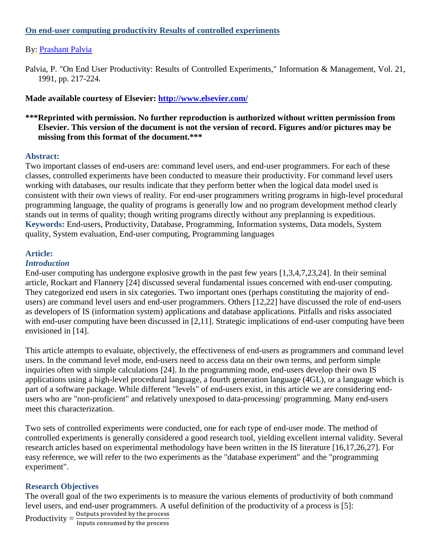### **On end-user computing productivity Results of controlled experiments**

## By: [Prashant Palvia](http://libres.uncg.edu/ir/uncg/clist.aspx?id=814)

Palvia, P. "On End User Productivity: Results of Controlled Experiments," Information & Management, Vol. 21, 1991, pp. 217-224.

### **Made available courtesy of Elsevier:<http://www.elsevier.com/>**

## **\*\*\*Reprinted with permission. No further reproduction is authorized without written permission from Elsevier. This version of the document is not the version of record. Figures and/or pictures may be missing from this format of the document.\*\*\***

#### **Abstract:**

Two important classes of end-users are: command level users, and end-user programmers. For each of these classes, controlled experiments have been conducted to measure their productivity. For command level users working with databases, our results indicate that they perform better when the logical data model used is consistent with their own views of reality. For end-user programmers writing programs in high-level procedural programming language, the quality of programs is generally low and no program development method clearly stands out in terms of quality; though writing programs directly without any preplanning is expeditious. **Keywords:** End-users, Productivity, Database, Programming, Information systems, Data models, System quality, System evaluation, End-user computing, Programming languages

### **Article:**

#### *Introduction*

End-user computing has undergone explosive growth in the past few years [1,3,4,7,23,24]. In their seminal article, Rockart and Flannery [24] discussed several fundamental issues concerned with end-user computing. They categorized end users in six categories. Two important ones (perhaps constituting the majority of endusers) are command level users and end-user programmers. Others [12,22] have discussed the role of end-users as developers of IS (information system) applications and database applications. Pitfalls and risks associated with end-user computing have been discussed in [2,11]. Strategic implications of end-user computing have been envisioned in [14].

This article attempts to evaluate, objectively, the effectiveness of end-users as programmers and command level users. In the command level mode, end-users need to access data on their own terms, and perform simple inquiries often with simple calculations [24]. In the programming mode, end-users develop their own IS applications using a high-level procedural language, a fourth generation language (4GL), or a language which is part of a software package. While different "levels" of end-users exist, in this article we are considering endusers who are "non-proficient" and relatively unexposed to data-processing/ programming. Many end-users meet this characterization.

Two sets of controlled experiments were conducted, one for each type of end-user mode. The method of controlled experiments is generally considered a good research tool, yielding excellent internal validity. Several research articles based on experimental methodology have been written in the IS literature [16,17,26,27]. For easy reference, we will refer to the two experiments as the "database experiment" and the "programming experiment".

## **Research Objectives**

The overall goal of the two experiments is to measure the various elements of productivity of both command level users, and end-user programmers. A useful definition of the productivity of a process is [5]:

Productivity  $=\frac{0}{\ln 2}$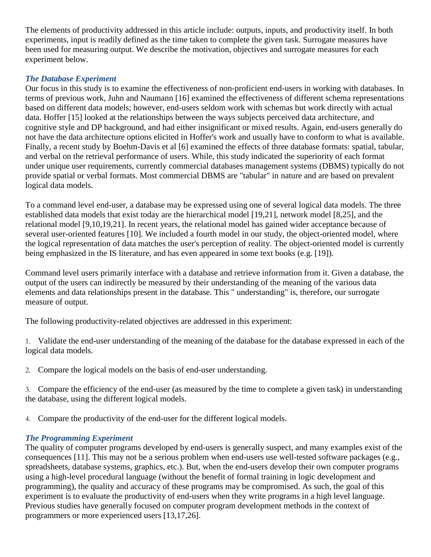The elements of productivity addressed in this article include: outputs, inputs, and productivity itself. In both experiments, input is readily defined as the time taken to complete the given task. Surrogate measures have been used for measuring output. We describe the motivation, objectives and surrogate measures for each experiment below.

# *The Database Experiment*

Our focus in this study is to examine the effectiveness of non-proficient end-users in working with databases. In terms of previous work, Juhn and Naumann [16] examined the effectiveness of different schema representations based on different data models; however, end-users seldom work with schemas but work directly with actual data. Hoffer [15] looked at the relationships between the ways subjects perceived data architecture, and cognitive style and DP background, and had either insignificant or mixed results. Again, end-users generally do not have the data architecture options elicited in Hoffer's work and usually have to conform to what is available. Finally, a recent study by Boehm-Davis et al [6] examined the effects of three database formats: spatial, tabular, and verbal on the retrieval performance of users. While, this study indicated the superiority of each format under unique user requirements, currently commercial databases management systems (DBMS) typically do not provide spatial or verbal formats. Most commercial DBMS are "tabular" in nature and are based on prevalent logical data models.

To a command level end-user, a database may be expressed using one of several logical data models. The three established data models that exist today are the hierarchical model [19,21], network model [8,25], and the relational model [9,10,19,21]. In recent years, the relational model has gained wider acceptance because of several user-oriented features [10]. We included a fourth model in our study, the object-oriented model, where the logical representation of data matches the user's perception of reality. The object-oriented model is currently being emphasized in the IS literature, and has even appeared in some text books (e.g. [19]).

Command level users primarily interface with a database and retrieve information from it. Given a database, the output of the users can indirectly be measured by their understanding of the meaning of the various data elements and data relationships present in the database. This " understanding" is, therefore, our surrogate measure of output.

The following productivity-related objectives are addressed in this experiment:

1. Validate the end-user understanding of the meaning of the database for the database expressed in each of the logical data models.

2. Compare the logical models on the basis of end-user understanding.

3. Compare the efficiency of the end-user (as measured by the time to complete a given task) in understanding the database, using the different logical models.

4. Compare the productivity of the end-user for the different logical models.

## *The Programming Experiment*

The quality of computer programs developed by end-users is generally suspect, and many examples exist of the consequences [11]. This may not be a serious problem when end-users use well-tested software packages (e.g., spreadsheets, database systems, graphics, etc.). But, when the end-users develop their own computer programs using a high-level procedural language (without the benefit of formal training in logic development and programming), the quality and accuracy of these programs may be compromised. As such, the goal of this experiment is to evaluate the productivity of end-users when they write programs in a high level language. Previous studies have generally focused on computer program development methods in the context of programmers or more experienced users [13,17,26].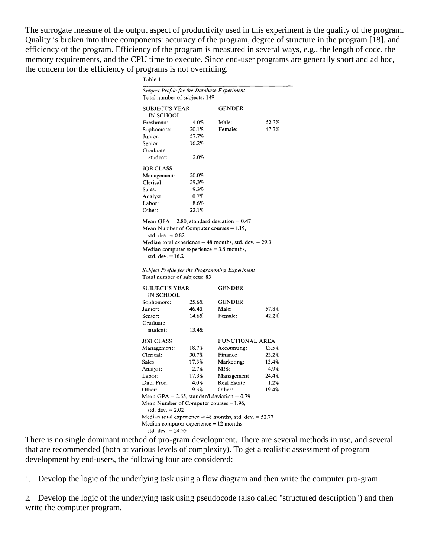The surrogate measure of the output aspect of productivity used in this experiment is the quality of the program. Quality is broken into three components: accuracy of the program, degree of structure in the program [18], and efficiency of the program. Efficiency of the program is measured in several ways, e.g., the length of code, the memory requirements, and the CPU time to execute. Since end-user programs are generally short and ad hoc, the concern for the efficiency of programs is not overriding.

| Table 1                                                                                               |         |                                                         |       |  |  |
|-------------------------------------------------------------------------------------------------------|---------|---------------------------------------------------------|-------|--|--|
| Subject Profile for the Database Experiment                                                           |         |                                                         |       |  |  |
| Total number of subjects: 149                                                                         |         |                                                         |       |  |  |
| <b>SUBJECT'S YEAR</b><br>IN SCHOOL                                                                    |         | GENDER                                                  |       |  |  |
| Freshman:                                                                                             | 4.0%    | Male:                                                   | 52.3% |  |  |
| Sophomore:                                                                                            | 20.1%   | Female:                                                 | 47.7% |  |  |
| Junior:                                                                                               | 57.7%   |                                                         |       |  |  |
| Senior:                                                                                               | 16.2%   |                                                         |       |  |  |
| Graduate                                                                                              |         |                                                         |       |  |  |
| student:                                                                                              | 2.0%    |                                                         |       |  |  |
| <b>JOB CLASS</b>                                                                                      |         |                                                         |       |  |  |
| Management:                                                                                           | 20.0%   |                                                         |       |  |  |
| Clerical:                                                                                             | 39.3%   |                                                         |       |  |  |
| Sales:                                                                                                | 9.3%    |                                                         |       |  |  |
| Analyst:                                                                                              | 0.7%    |                                                         |       |  |  |
| Labor:                                                                                                | $8.6\%$ |                                                         |       |  |  |
| Other:                                                                                                | 22.1%   |                                                         |       |  |  |
|                                                                                                       |         |                                                         |       |  |  |
| Mean GPA = $2.80$ , standard deviation = $0.47$<br>Mean Number of Computer courses $= 1.19$ ,         |         |                                                         |       |  |  |
| std. $dev = 0.82$                                                                                     |         |                                                         |       |  |  |
|                                                                                                       |         | Median total experience = 48 months, std. dev. = $29.3$ |       |  |  |
| Median computer experience $= 3.5$ months,                                                            |         |                                                         |       |  |  |
| std. dev. $= 16.2$                                                                                    |         |                                                         |       |  |  |
|                                                                                                       |         |                                                         |       |  |  |
| Subject Profile for the Programming Experiment                                                        |         |                                                         |       |  |  |
| Total number of subjects: 83                                                                          |         |                                                         |       |  |  |
| <b>SUBJECT'S YEAR</b><br><b>GENDER</b>                                                                |         |                                                         |       |  |  |
| IN SCHOOL                                                                                             |         |                                                         |       |  |  |
| Sophomore:                                                                                            | 25.6%   | <b>GENDER</b>                                           |       |  |  |
| Junior:                                                                                               | 46.4%   | Male:                                                   | 57.8% |  |  |
| Senior:                                                                                               | 14.6%   | Female:                                                 | 42.2% |  |  |
| Graduate                                                                                              |         |                                                         |       |  |  |
| student:                                                                                              | 13.4%   |                                                         |       |  |  |
| <b>JOB CLASS</b>                                                                                      |         | <b>FUNCTIONAL AREA</b>                                  |       |  |  |
| Management:                                                                                           | 18.7%   | Accounting:                                             | 13.5% |  |  |
| Clerical:                                                                                             | 30.7%   | Finance:                                                | 23.2% |  |  |
| Sales:                                                                                                | 17.3%   | Marketing:                                              | 13.4% |  |  |
| Analyst:                                                                                              | 2.7%    | MIS:                                                    | 4.9%  |  |  |
| Labor:                                                                                                | 17.3%   | Management:                                             | 24.4% |  |  |
| Data Proc.                                                                                            | 4.0%    | Real Estate:                                            | 1.2%  |  |  |
| Other:                                                                                                | 9.3%    | Other.                                                  | 19.4% |  |  |
| Mean GPA = $2.65$ , standard deviation = 0.79                                                         |         |                                                         |       |  |  |
| Mean Number of Computer courses $= 1.96$ ,                                                            |         |                                                         |       |  |  |
| std. dev. $= 2.02$                                                                                    |         |                                                         |       |  |  |
| Median total experience = 48 months, std. dev. = $52.77$<br>Median computer experience $= 12$ months, |         |                                                         |       |  |  |
| std. dev. $= 24.55$                                                                                   |         |                                                         |       |  |  |

There is no single dominant method of pro-gram development. There are several methods in use, and several that are recommended (both at various levels of complexity). To get a realistic assessment of program development by end-users, the following four are considered:

1. Develop the logic of the underlying task using a flow diagram and then write the computer pro-gram.

2. Develop the logic of the underlying task using pseudocode (also called "structured description") and then write the computer program.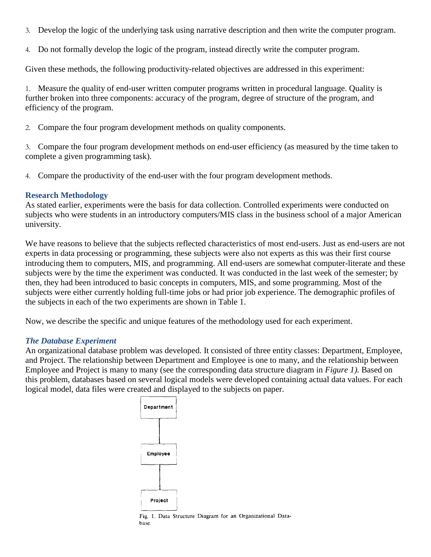- 3. Develop the logic of the underlying task using narrative description and then write the computer program.
- 4. Do not formally develop the logic of the program, instead directly write the computer program.

Given these methods, the following productivity-related objectives are addressed in this experiment:

1. Measure the quality of end-user written computer programs written in procedural language. Quality is further broken into three components: accuracy of the program, degree of structure of the program, and efficiency of the program.

2. Compare the four program development methods on quality components.

3. Compare the four program development methods on end-user efficiency (as measured by the time taken to complete a given programming task).

4. Compare the productivity of the end-user with the four program development methods.

### **Research Methodology**

As stated earlier, experiments were the basis for data collection. Controlled experiments were conducted on subjects who were students in an introductory computers/MIS class in the business school of a major American university.

We have reasons to believe that the subjects reflected characteristics of most end-users. Just as end-users are not experts in data processing or programming, these subjects were also not experts as this was their first course introducing them to computers, MIS, and programming. All end-users are somewhat computer-literate and these subjects were by the time the experiment was conducted. It was conducted in the last week of the semester; by then, they had been introduced to basic concepts in computers, MIS, and some programming. Most of the subjects were either currently holding full-time jobs or had prior job experience. The demographic profiles of the subjects in each of the two experiments are shown in Table 1.

Now, we describe the specific and unique features of the methodology used for each experiment.

### *The Database Experiment*

An organizational database problem was developed. It consisted of three entity classes: Department, Employee, and Project. The relationship between Department and Employee is one to many, and the relationship between Employee and Project is many to many (see the corresponding data structure diagram in *Figure 1).* Based on this problem, databases based on several logical models were developed containing actual data values. For each logical model, data files were created and displayed to the subjects on paper.



Fig. 1. Data Structure Diagram for an Organizational Database.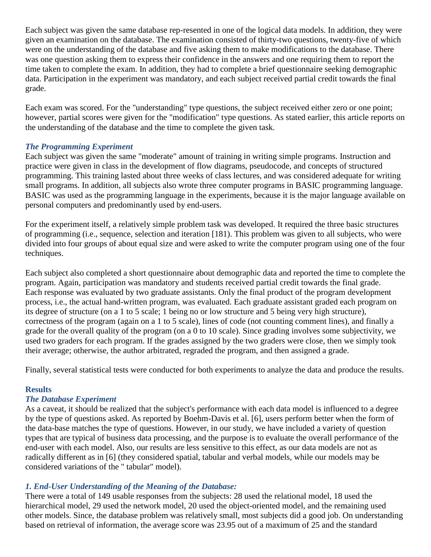Each subject was given the same database rep-resented in one of the logical data models. In addition, they were given an examination on the database. The examination consisted of thirty-two questions, twenty-five of which were on the understanding of the database and five asking them to make modifications to the database. There was one question asking them to express their confidence in the answers and one requiring them to report the time taken to complete the exam. In addition, they had to complete a brief questionnaire seeking demographic data. Participation in the experiment was mandatory, and each subject received partial credit towards the final grade.

Each exam was scored. For the "understanding" type questions, the subject received either zero or one point; however, partial scores were given for the "modification" type questions. As stated earlier, this article reports on the understanding of the database and the time to complete the given task.

### *The Programming Experiment*

Each subject was given the same "moderate" amount of training in writing simple programs. Instruction and practice were given in class in the development of flow diagrams, pseudocode, and concepts of structured programming. This training lasted about three weeks of class lectures, and was considered adequate for writing small programs. In addition, all subjects also wrote three computer programs in BASIC programming language. BASIC was used as the programming language in the experiments, because it is the major language available on personal computers and predominantly used by end-users.

For the experiment itself, a relatively simple problem task was developed. It required the three basic structures of programming (i.e., sequence, selection and iteration [181). This problem was given to all subjects, who were divided into four groups of about equal size and were asked to write the computer program using one of the four techniques.

Each subject also completed a short questionnaire about demographic data and reported the time to complete the program. Again, participation was mandatory and students received partial credit towards the final grade. Each response was evaluated by two graduate assistants. Only the final product of the program development process, i.e., the actual hand-written program, was evaluated. Each graduate assistant graded each program on its degree of structure (on a 1 to 5 scale; 1 being no or low structure and 5 being very high structure), correctness of the program (again on a 1 to 5 scale), lines of code (not counting comment lines), and finally a grade for the overall quality of the program (on a 0 to 10 scale). Since grading involves some subjectivity, we used two graders for each program. If the grades assigned by the two graders were close, then we simply took their average; otherwise, the author arbitrated, regraded the program, and then assigned a grade.

Finally, several statistical tests were conducted for both experiments to analyze the data and produce the results.

## **Results**

### *The Database Experiment*

As a caveat, it should be realized that the subject's performance with each data model is influenced to a degree by the type of questions asked. As reported by Boehm-Davis et al. [6], users perform better when the form of the data-base matches the type of questions. However, in our study, we have included a variety of question types that are typical of business data processing, and the purpose is to evaluate the overall performance of the end-user with each model. Also, our results are less sensitive to this effect, as our data models are not as radically different as in [6] (they considered spatial, tabular and verbal models, while our models may be considered variations of the " tabular" model).

## *1. End-User Understanding of the Meaning of the Database:*

There were a total of 149 usable responses from the subjects: 28 used the relational model, 18 used the hierarchical model, 29 used the network model, 20 used the object-oriented model, and the remaining used other models. Since, the database problem was relatively small, most subjects did a good job. On understanding based on retrieval of information, the average score was 23.95 out of a maximum of 25 and the standard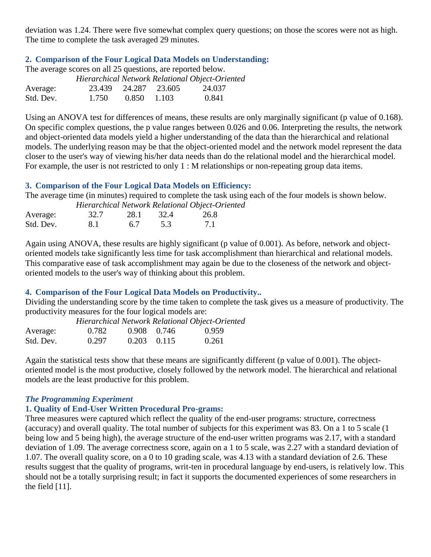deviation was 1.24. There were five somewhat complex query questions; on those the scores were not as high. The time to complete the task averaged 29 minutes.

## **2. Comparison of the Four Logical Data Models on Understanding:**

The average scores on all 25 questions, are reported below.

| Hierarchical Network Relational Object-Oriented |  |
|-------------------------------------------------|--|
|-------------------------------------------------|--|

| Average:  |       | 23.439 24.287 | 23.605 | 24.037 |
|-----------|-------|---------------|--------|--------|
| Std. Dev. | 1.750 | $0.850$ 1.103 |        | 0.841  |

Using an ANOVA test for differences of means, these results are only marginally significant (p value of 0.168). On specific complex questions, the p value ranges between 0.026 and 0.06. Interpreting the results, the network and object-oriented data models yield a higher understanding of the data than the hierarchical and relational models. The underlying reason may be that the object-oriented model and the network model represent the data closer to the user's way of viewing his/her data needs than do the relational model and the hierarchical model. For example, the user is not restricted to only 1 : M relationships or non-repeating group data items.

### **3. Comparison of the Four Logical Data Models on Efficiency:**

The average time (in minutes) required to complete the task using each of the four models is shown below. *Hierarchical Network Relational Object-Oriented*

| Average:  | 32.7  | 28.1 32.4 |     | 26.8 |
|-----------|-------|-----------|-----|------|
| Std. Dev. | - 8.1 | 6.7       | 5.3 | 7.1  |

Again using ANOVA, these results are highly significant (p value of 0.001). As before, network and objectoriented models take significantly less time for task accomplishment than hierarchical and relational models. This comparative ease of task accomplishment may again be due to the closeness of the network and objectoriented models to the user's way of thinking about this problem.

## **4. Comparison of the Four Logical Data Models on Productivity..**

Dividing the understanding score by the time taken to complete the task gives us a measure of productivity. The productivity measures for the four logical models are:

|           |       |             | Hierarchical Network Relational Object-Oriented |
|-----------|-------|-------------|-------------------------------------------------|
| Average:  | 0.782 | 0.908 0.746 | 0.959                                           |
| Std. Dev. | 0.297 | 0.203 0.115 | 0.261                                           |

Again the statistical tests show that these means are significantly different (p value of 0.001). The objectoriented model is the most productive, closely followed by the network model. The hierarchical and relational models are the least productive for this problem.

### *The Programming Experiment*

### **1. Quality of End-User Written Procedural Pro-grams:**

Three measures were captured which reflect the quality of the end-user programs: structure, correctness (accuracy) and overall quality. The total number of subjects for this experiment was 83. On a 1 to 5 scale (1 being low and 5 being high), the average structure of the end-user written programs was 2.17, with a standard deviation of 1.09. The average correctness score, again on a 1 to 5 scale, was 2.27 with a standard deviation of 1.07. The overall quality score, on a 0 to 10 grading scale, was 4.13 with a standard deviation of 2.6. These results suggest that the quality of programs, writ-ten in procedural language by end-users, is relatively low. This should not be a totally surprising result; in fact it supports the documented experiences of some researchers in the field [11].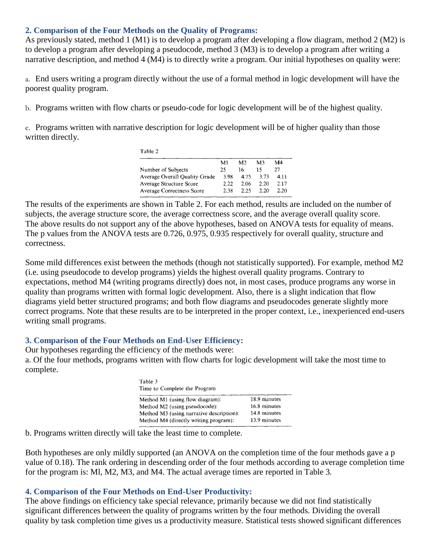### **2. Comparison of the Four Methods on the Quality of Programs:**

As previously stated, method 1 (M1) is to develop a program after developing a flow diagram, method 2 (M2) is to develop a program after developing a pseudocode, method 3 (M3) is to develop a program after writing a narrative description, and method 4 (M4) is to directly write a program. Our initial hypotheses on quality were:

a. End users writing a program directly without the use of a formal method in logic development will have the poorest quality program.

b. Programs written with flow charts or pseudo-code for logic development will be of the highest quality.

c. Programs written with narrative description for logic development will be of higher quality than those written directly.

| Table 2                          |      |      |                |      |
|----------------------------------|------|------|----------------|------|
|                                  | M1   | M2   | M <sub>3</sub> | M4   |
| Number of Subjects               | 25   | 16   | 15             | 27   |
| Average Overall Quality Grade    | 3.98 | 4.75 | 3.73           | 4.11 |
| Average Structure Score          | 2.22 | 2.06 | 2.20           | 2.17 |
| <b>Average Correctness Score</b> | 2.38 | 225  | 2.20           | 2.20 |

The results of the experiments are shown in Table 2. For each method, results are included on the number of subjects, the average structure score, the average correctness score, and the average overall quality score. The above results do not support any of the above hypotheses, based on ANOVA tests for equality of means. The p values from the ANOVA tests are 0.726, 0.975, 0.935 respectively for overall quality, structure and correctness.

Some mild differences exist between the methods (though not statistically supported). For example, method M2 (i.e. using pseudocode to develop programs) yields the highest overall quality programs. Contrary to expectations, method M4 (writing programs directly) does not, in most cases, produce programs any worse in quality than programs written with formal logic development. Also, there is a slight indication that flow diagrams yield better structured programs; and both flow diagrams and pseudocodes generate slightly more correct programs. Note that these results are to be interpreted in the proper context, i.e., inexperienced end-users writing small programs.

## **3. Comparison of the Four Methods on End-User Efficiency:**

Our hypotheses regarding the efficiency of the methods were:

a. Of the four methods, programs written with flow charts for logic development will take the most time to complete.

| Table 3<br>Time to Complete the Program  |              |
|------------------------------------------|--------------|
| Method M1 (using flow diagram):          | 18.9 minutes |
| Method M2 (using pseudocode):            | 16.8 minutes |
| Method M3 (using narrative description): | 14.8 minutes |
| Method M4 (directly writing program):    | 13.9 minutes |

b. Programs written directly will take the least time to complete.

Both hypotheses are only mildly supported (an ANOVA on the completion time of the four methods gave a p value of 0.18). The rank ordering in descending order of the four methods according to average completion time for the program is: Ml, M2, M3, and M4. The actual average times are reported in Table 3*.*

## **4. Comparison of the Four Methods on End-User Productivity:**

The above findings on efficiency take special relevance, primarily because we did not find statistically significant differences between the quality of programs written by the four methods. Dividing the overall quality by task completion time gives us a productivity measure. Statistical tests showed significant differences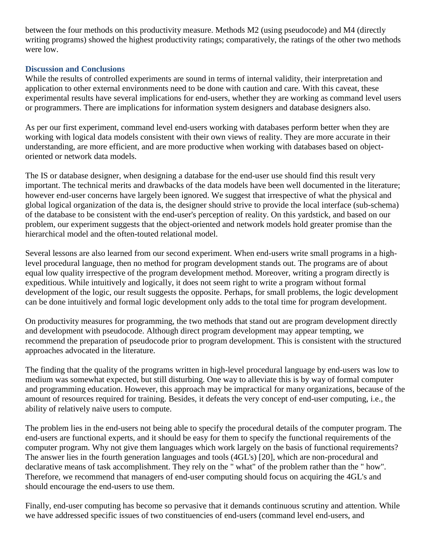between the four methods on this productivity measure. Methods M2 (using pseudocode) and M4 (directly writing programs) showed the highest productivity ratings; comparatively, the ratings of the other two methods were low.

## **Discussion and Conclusions**

While the results of controlled experiments are sound in terms of internal validity, their interpretation and application to other external environments need to be done with caution and care. With this caveat, these experimental results have several implications for end-users, whether they are working as command level users or programmers. There are implications for information system designers and database designers also.

As per our first experiment, command level end-users working with databases perform better when they are working with logical data models consistent with their own views of reality. They are more accurate in their understanding, are more efficient, and are more productive when working with databases based on objectoriented or network data models.

The IS or database designer, when designing a database for the end-user use should find this result very important. The technical merits and drawbacks of the data models have been well documented in the literature; however end-user concerns have largely been ignored. We suggest that irrespective of what the physical and global logical organization of the data is, the designer should strive to provide the local interface (sub-schema) of the database to be consistent with the end-user's perception of reality. On this yardstick, and based on our problem, our experiment suggests that the object-oriented and network models hold greater promise than the hierarchical model and the often-touted relational model.

Several lessons are also learned from our second experiment. When end-users write small programs in a highlevel procedural language, then no method for program development stands out. The programs are of about equal low quality irrespective of the program development method. Moreover, writing a program directly is expeditious. While intuitively and logically, it does not seem right to write a program without formal development of the logic, our result suggests the opposite. Perhaps, for small problems, the logic development can be done intuitively and formal logic development only adds to the total time for program development.

On productivity measures for programming, the two methods that stand out are program development directly and development with pseudocode. Although direct program development may appear tempting, we recommend the preparation of pseudocode prior to program development. This is consistent with the structured approaches advocated in the literature.

The finding that the quality of the programs written in high-level procedural language by end-users was low to medium was somewhat expected, but still disturbing. One way to alleviate this is by way of formal computer and programming education. However, this approach may be impractical for many organizations, because of the amount of resources required for training. Besides, it defeats the very concept of end-user computing, i.e., the ability of relatively naive users to compute.

The problem lies in the end-users not being able to specify the procedural details of the computer program. The end-users are functional experts, and it should be easy for them to specify the functional requirements of the computer program. Why not give them languages which work largely on the basis of functional requirements? The answer lies in the fourth generation languages and tools (4GL's) [20], which are non-procedural and declarative means of task accomplishment. They rely on the " what" of the problem rather than the " how". Therefore, we recommend that managers of end-user computing should focus on acquiring the 4GL's and should encourage the end-users to use them.

Finally, end-user computing has become so pervasive that it demands continuous scrutiny and attention. While we have addressed specific issues of two constituencies of end-users (command level end-users, and